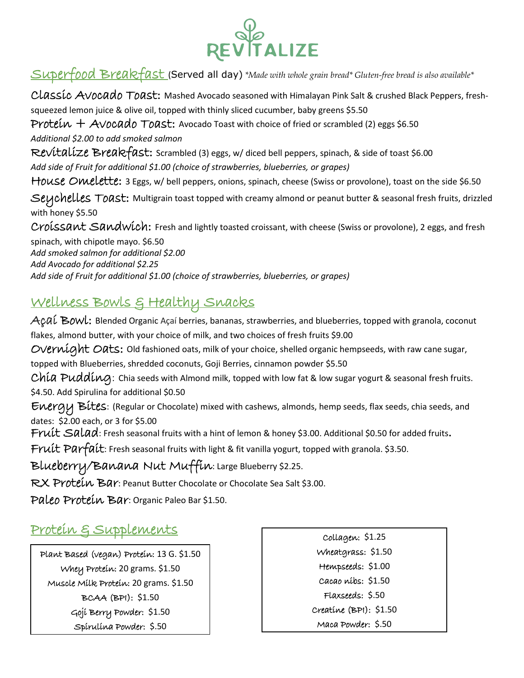

# Superfood Breakfast (Served all day) *\*Made with whole grain bread\* Gluten-free bread is also available\**

CLASSIC AVOCAdo ToAst: Mashed Avocado seasoned with Himalayan Pink Salt & crushed Black Peppers, freshsqueezed lemon juice & olive oil, topped with thinly sliced cucumber, baby greens \$5.50 Protein  $+$  Avocado Toast: Avocado Toast with choice of fried or scrambled (2) eggs \$6.50 *Additional \$2.00 to add smoked salmon* Revitalize Breakfast: Scrambled (3) eggs, w/ diced bell peppers, spinach, & side of toast \$6.00 *Add side of Fruit for additional \$1.00 (choice of strawberries, blueberries, or grapes)* House Omelette: 3 Eggs, w/ bell peppers, onions, spinach, cheese (Swiss or provolone), toast on the side \$6.50 Seychelles Toast: Multigrain toast topped with creamy almond or peanut butter & seasonal fresh fruits, drizzled with honey \$5.50 Croissant Sandwich: Fresh and lightly toasted croissant, with cheese (Swiss or provolone), 2 eggs, and fresh spinach, with chipotle mayo. \$6.50 *Add smoked salmon for additional \$2.00 Add Avocado for additional \$2.25 Add side of Fruit for additional \$1.00 (choice of strawberries, blueberries, or grapes)*

#### Wellness Bowls & Healthy Snacks

 $Açai$  Bowl: Blended Organic Açaí berries, bananas, strawberries, and blueberries, topped with granola, coconut flakes, almond butter, with your choice of milk, and two choices of fresh fruits \$9.00

Overnight Oats: Old fashioned oats, milk of your choice, shelled organic hempseeds, with raw cane sugar,

topped with Blueberries, shredded coconuts, Goji Berries, cinnamon powder \$5.50

Chia Pudding: Chia seeds with Almond milk, topped with low fat & low sugar yogurt & seasonal fresh fruits. \$4.50. Add Spirulina for additional \$0.50

Energy Bites: (Regular or Chocolate) mixed with cashews, almonds, hemp seeds, flax seeds, chia seeds, and dates: \$2.00 each, or 3 for \$5.00

Fruit Salad: Fresh seasonal fruits with a hint of lemon & honey \$3.00. Additional \$0.50 for added fruits.

Fruit Parfait: Fresh seasonal fruits with light & fit vanilla yogurt, topped with granola. \$3.50.

Blueberry/Banana Nut Muffin: Large Blueberry \$2.25.

RX Protein Bar: Peanut Butter Chocolate or Chocolate Sea Salt \$3.00.

Paleo Protein Bar: Organic Paleo Bar \$1.50.

# Protein & Supplements

Plant Based (vegan) Protein: 13 G. \$1.50 Whey Protein: 20 grams. \$1.50 Muscle Milk Protein: 20 grams. \$1.50 BCAA (BPI): \$1.50 Goji Berry Powder: \$1.50 Spirulina Powder: \$.50

Collagen: \$1.25 Wheatgrass: \$1.50 Hempseeds: \$1.00 Cacao nibs: \$1.50 Flaxseeds: \$.50 Creatine (BPI): \$1.50 Maca Powder: \$.50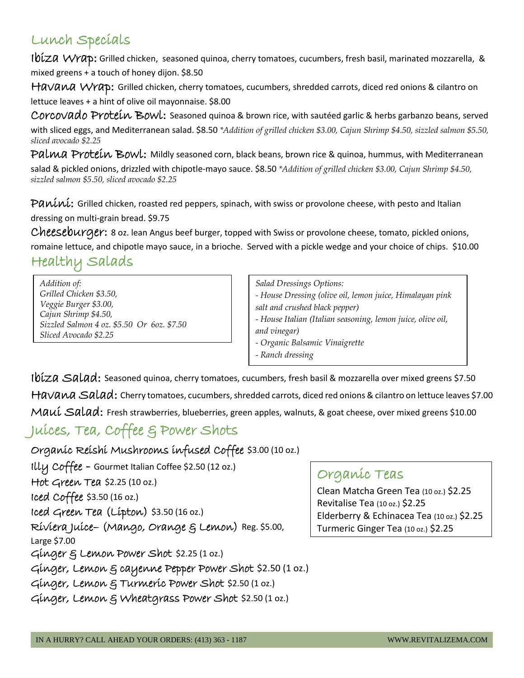# Lunch Specials

Ibiza Wrap: Grilled chicken, seasoned quinoa, cherry tomatoes, cucumbers, fresh basil, marinated mozzarella, & mixed greens + a touch of honey dijon. \$8.50

HaVana Wrap: Grilled chicken, cherry tomatoes, cucumbers, shredded carrots, diced red onions & cilantro on lettuce leaves + a hint of olive oil mayonnaise. \$8.00

Corcovado Proteín Bowl: Seasoned quinoa & brown rice, with sautéed garlic & herbs garbanzo beans, served with sliced eggs, and Mediterranean salad. \$8.50 *\*Addition of grilled chicken \$3.00, Cajun Shrimp \$4.50, sizzled salmon \$5.50, sliced avocado \$2.25*

Palma Protein Bowl: Mildly seasoned corn, black beans, brown rice & quinoa, hummus, with Mediterranean salad & pickled onions, drizzled with chipotle-mayo sauce. \$8.50 *\*Addition of grilled chicken \$3.00, Cajun Shrimp \$4.50, sizzled salmon \$5.50, sliced avocado \$2.25*

Paníni: Grilled chicken, roasted red peppers, spinach, with swiss or provolone cheese, with pesto and Italian dressing on multi-grain bread. \$9.75

Cheeseburger: 8 oz. lean Angus beef burger, topped with Swiss or provolone cheese, tomato, pickled onions, romaine lettuce, and chipotle mayo sauce, in a brioche. Served with a pickle wedge and your choice of chips. \$10.00 Healthy Salads

*Addition of: Grilled Chicken \$3.50, Veggie Burger \$3.00, Cajun Shrimp \$4.50, Sizzled Salmon 4 oz. \$5.50 Or 6oz. \$7.50 Sliced Avocado \$2.25*

*Salad Dressings Options: - House Dressing (olive oil, lemon juice, Himalayan pink salt and crushed black pepper) - House Italian (Italian seasoning, lemon juice, olive oil, and vinegar) - Organic Balsamic Vinaigrette - Ranch dressing*

Ibíza Salad: Seasoned quinoa, cherry tomatoes, cucumbers, fresh basil & mozzarella over mixed greens \$7.50 Havana Salad: Cherry tomatoes, cucumbers, shredded carrots, diced red onions & cilantro on lettuce leaves \$7.00 Maui Salad: Fresh strawberries, blueberries, green apples, walnuts, & goat cheese, over mixed greens \$10.00

# Juices, Tea, Coffee & Power Shots

Organic Reishi Mushrooms infused Coffee \$3.00 (10 oz.)

Illy Coffee - Gourmet Italian Coffee \$2.50 (12 oz.) Hot Green Tea \$2.25 (10 oz.) Iced Coffee \$3.50 (16 oz.) Iced Green Tea (Lipton) \$3.50 (16 oz.) Riviera Juice– (Mango, Orange & Lemon) Reg. \$5.00, Large \$7.00 Ginger & Lemon Power Shot \$2.25 (1 oz.) Ginger, Lemon & cayenne Pepper Power Shot \$2.50 (1 oz.) Ginger, Lemon & Turmeric Power Shot \$2.50 (1 oz.) Ginger, Lemon & Wheatgrass Power Shot \$2.50 (1 oz.)

# Organic Teas

Clean Matcha Green Tea (10 oz.) \$2.25 Revitalise Tea (10 oz.) \$2.25 Elderberry & Echinacea Tea (10 oz.) \$2.25 Turmeric Ginger Tea (10 oz.) \$2.25